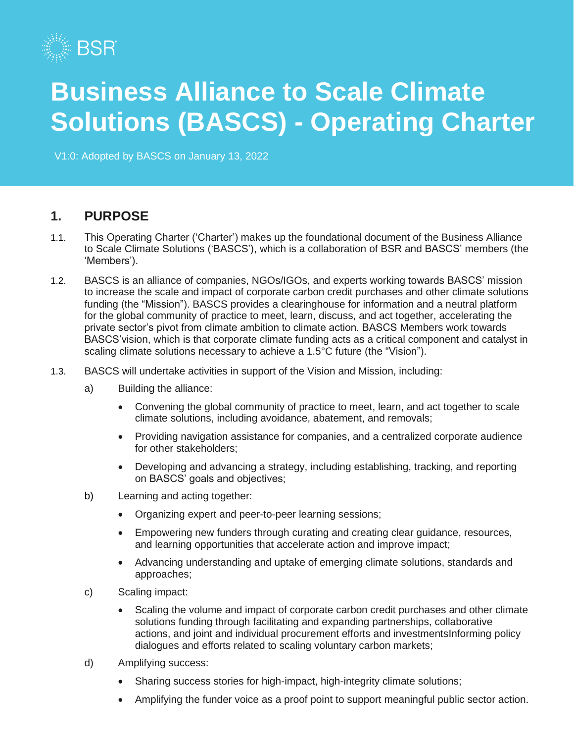

# **Business Alliance to Scale Climate Solutions (BASCS) - Operating Charter**

V1:0: Adopted by BASCS on January 13, 2022

#### **1. PURPOSE**

- 1.1. This Operating Charter ('Charter') makes up the foundational document of the Business Alliance to Scale Climate Solutions ('BASCS'), which is a collaboration of BSR and BASCS' members (the 'Members').
- 1.2. BASCS is an alliance of companies, NGOs/IGOs, and experts working towards BASCS' mission to increase the scale and impact of corporate carbon credit purchases and other climate solutions funding (the "Mission"). BASCS provides a clearinghouse for information and a neutral platform for the global community of practice to meet, learn, discuss, and act together, accelerating the private sector's pivot from climate ambition to climate action. BASCS Members work towards BASCS'vision, which is that corporate climate funding acts as a critical component and catalyst in scaling climate solutions necessary to achieve a 1.5°C future (the "Vision").
- 1.3. BASCS will undertake activities in support of the Vision and Mission, including:
	- a) Building the alliance:
		- Convening the global community of practice to meet, learn, and act together to scale climate solutions, including avoidance, abatement, and removals;
		- Providing navigation assistance for companies, and a centralized corporate audience for other stakeholders;
		- Developing and advancing a strategy, including establishing, tracking, and reporting on BASCS' goals and objectives;
	- b) Learning and acting together:
		- Organizing expert and peer-to-peer learning sessions;
		- Empowering new funders through curating and creating clear guidance, resources, and learning opportunities that accelerate action and improve impact;
		- Advancing understanding and uptake of emerging climate solutions, standards and approaches;
	- c) Scaling impact:
		- Scaling the volume and impact of corporate carbon credit purchases and other climate solutions funding through facilitating and expanding partnerships, collaborative actions, and joint and individual procurement efforts and investmentsInforming policy dialogues and efforts related to scaling voluntary carbon markets;
	- d) Amplifying success:
		- Sharing success stories for high-impact, high-integrity climate solutions;
		- Amplifying the funder voice as a proof point to support meaningful public sector action.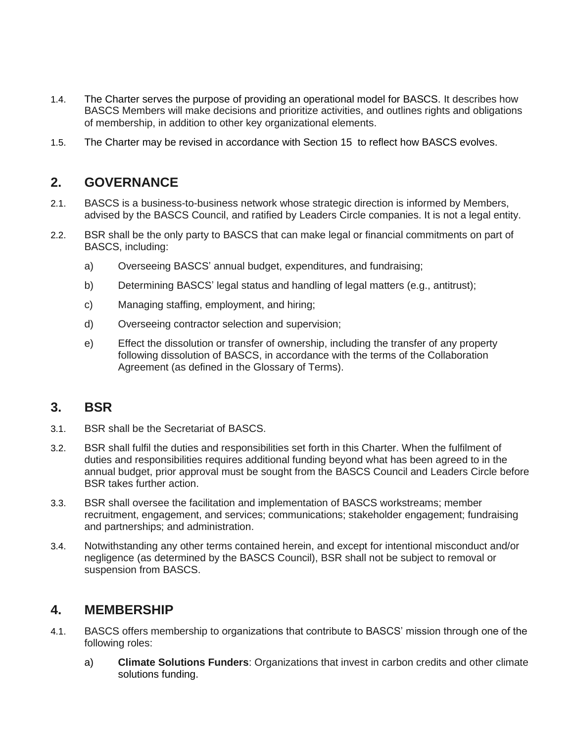- 1.4. The Charter serves the purpose of providing an operational model for BASCS. It describes how BASCS Members will make decisions and prioritize activities, and outlines rights and obligations of membership, in addition to other key organizational elements.
- 1.5. The Charter may be revised in accordance with Section 15 to reflect how BASCS evolves.

#### **2. GOVERNANCE**

- 2.1. BASCS is a business-to-business network whose strategic direction is informed by Members, advised by the BASCS Council, and ratified by Leaders Circle companies. It is not a legal entity.
- 2.2. BSR shall be the only party to BASCS that can make legal or financial commitments on part of BASCS, including:
	- a) Overseeing BASCS' annual budget, expenditures, and fundraising;
	- b) Determining BASCS' legal status and handling of legal matters (e.g., antitrust);
	- c) Managing staffing, employment, and hiring;
	- d) Overseeing contractor selection and supervision;
	- e) Effect the dissolution or transfer of ownership, including the transfer of any property following dissolution of BASCS, in accordance with the terms of the Collaboration Agreement (as defined in the Glossary of Terms).

#### **3. BSR**

- 3.1. BSR shall be the Secretariat of BASCS.
- 3.2. BSR shall fulfil the duties and responsibilities set forth in this Charter. When the fulfilment of duties and responsibilities requires additional funding beyond what has been agreed to in the annual budget, prior approval must be sought from the BASCS Council and Leaders Circle before BSR takes further action.
- 3.3. BSR shall oversee the facilitation and implementation of BASCS workstreams; member recruitment, engagement, and services; communications; stakeholder engagement; fundraising and partnerships; and administration.
- 3.4. Notwithstanding any other terms contained herein, and except for intentional misconduct and/or negligence (as determined by the BASCS Council), BSR shall not be subject to removal or suspension from BASCS.

### **4. MEMBERSHIP**

- 4.1. BASCS offers membership to organizations that contribute to BASCS' mission through one of the following roles:
	- a) **Climate Solutions Funders**: Organizations that invest in carbon credits and other climate solutions funding.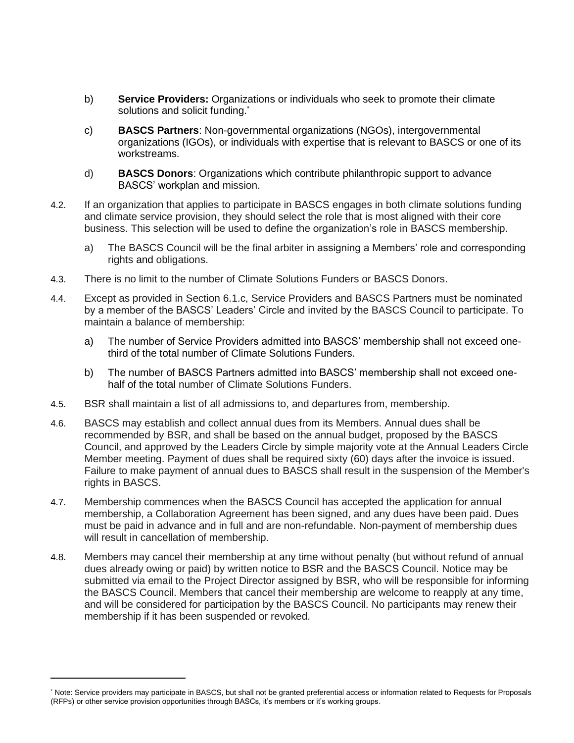- b) **Service Providers:** Organizations or individuals who seek to promote their climate solutions and solicit funding.<sup>\*</sup>
- c) **BASCS Partners**: Non-governmental organizations (NGOs), intergovernmental organizations (IGOs), or individuals with expertise that is relevant to BASCS or one of its workstreams.
- d) **BASCS Donors**: Organizations which contribute philanthropic support to advance BASCS' workplan and mission.
- 4.2. If an organization that applies to participate in BASCS engages in both climate solutions funding and climate service provision, they should select the role that is most aligned with their core business. This selection will be used to define the organization's role in BASCS membership.
	- a) The BASCS Council will be the final arbiter in assigning a Members' role and corresponding rights and obligations.
- 4.3. There is no limit to the number of Climate Solutions Funders or BASCS Donors.
- 4.4. Except as provided in Section 6.1.c, Service Providers and BASCS Partners must be nominated by a member of the BASCS' Leaders' Circle and invited by the BASCS Council to participate. To maintain a balance of membership:
	- a) The number of Service Providers admitted into BASCS' membership shall not exceed onethird of the total number of Climate Solutions Funders.
	- b) The number of BASCS Partners admitted into BASCS' membership shall not exceed onehalf of the total number of Climate Solutions Funders.
- 4.5. BSR shall maintain a list of all admissions to, and departures from, membership.
- 4.6. BASCS may establish and collect annual dues from its Members. Annual dues shall be recommended by BSR, and shall be based on the annual budget, proposed by the BASCS Council, and approved by the Leaders Circle by simple majority vote at the Annual Leaders Circle Member meeting. Payment of dues shall be required sixty (60) days after the invoice is issued. Failure to make payment of annual dues to BASCS shall result in the suspension of the Member's rights in BASCS.
- 4.7. Membership commences when the BASCS Council has accepted the application for annual membership, a Collaboration Agreement has been signed, and any dues have been paid. Dues must be paid in advance and in full and are non-refundable. Non-payment of membership dues will result in cancellation of membership.
- 4.8. Members may cancel their membership at any time without penalty (but without refund of annual dues already owing or paid) by written notice to BSR and the BASCS Council. Notice may be submitted via email to the Project Director assigned by BSR, who will be responsible for informing the BASCS Council. Members that cancel their membership are welcome to reapply at any time, and will be considered for participation by the BASCS Council. No participants may renew their membership if it has been suspended or revoked.

Note: Service providers may participate in BASCS, but shall not be granted preferential access or information related to Requests for Proposals (RFPs) or other service provision opportunities through BASCs, it's members or it's working groups.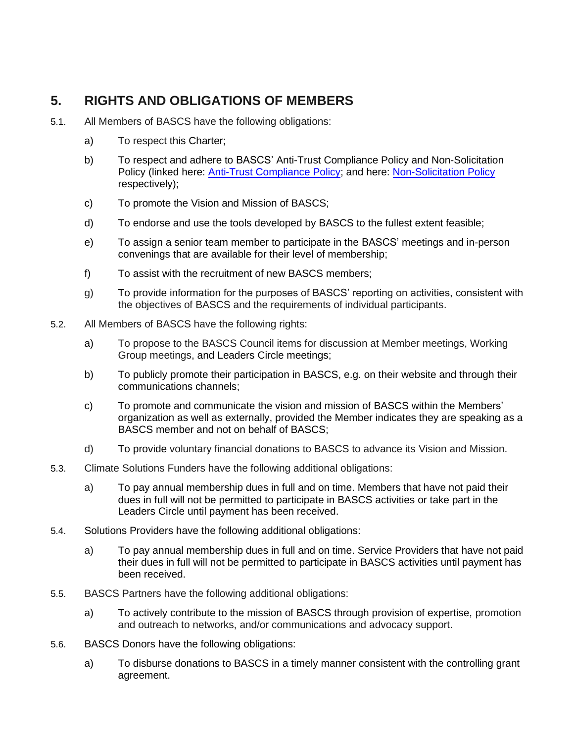## **5. RIGHTS AND OBLIGATIONS OF MEMBERS**

- 5.1. All Members of BASCS have the following obligations:
	- a) To respect this Charter;
	- b) To respect and adhere to BASCS' Anti-Trust Compliance Policy and Non-Solicitation Policy (linked here: [Anti-Trust Compliance Policy;](https://scalingclimatesolutions.org/wp-content/uploads/2022/01/BASCS_Anti-Trust-Policy_final.pdf) and here: [Non-Solicitation Policy](https://scalingclimatesolutions.org/wp-content/uploads/2022/01/BASCS_Non-Solicitaton_Policy_final.pdf) respectively);
	- c) To promote the Vision and Mission of BASCS;
	- d) To endorse and use the tools developed by BASCS to the fullest extent feasible;
	- e) To assign a senior team member to participate in the BASCS' meetings and in-person convenings that are available for their level of membership;
	- f) To assist with the recruitment of new BASCS members;
	- g) To provide information for the purposes of BASCS' reporting on activities, consistent with the objectives of BASCS and the requirements of individual participants.
- 5.2. All Members of BASCS have the following rights:
	- a) To propose to the BASCS Council items for discussion at Member meetings, Working Group meetings, and Leaders Circle meetings;
	- b) To publicly promote their participation in BASCS, e.g. on their website and through their communications channels;
	- c) To promote and communicate the vision and mission of BASCS within the Members' organization as well as externally, provided the Member indicates they are speaking as a BASCS member and not on behalf of BASCS;
	- d) To provide voluntary financial donations to BASCS to advance its Vision and Mission.
- 5.3. Climate Solutions Funders have the following additional obligations:
	- a) To pay annual membership dues in full and on time. Members that have not paid their dues in full will not be permitted to participate in BASCS activities or take part in the Leaders Circle until payment has been received.
- 5.4. Solutions Providers have the following additional obligations:
	- a) To pay annual membership dues in full and on time. Service Providers that have not paid their dues in full will not be permitted to participate in BASCS activities until payment has been received.
- 5.5. BASCS Partners have the following additional obligations:
	- a) To actively contribute to the mission of BASCS through provision of expertise, promotion and outreach to networks, and/or communications and advocacy support.
- 5.6. BASCS Donors have the following obligations:
	- a) To disburse donations to BASCS in a timely manner consistent with the controlling grant agreement.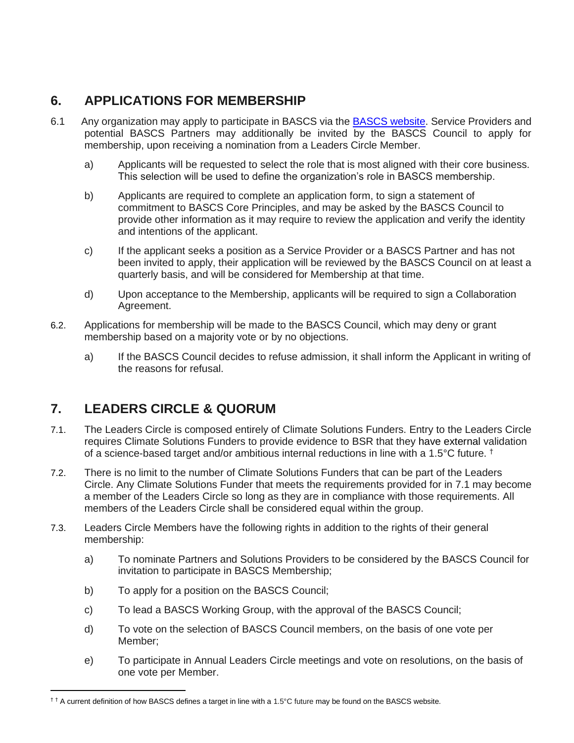## **6. APPLICATIONS FOR MEMBERSHIP**

- 6.1 Any organization may apply to participate in BASCS via the **BASCS website**. Service Providers and potential BASCS Partners may additionally be invited by the BASCS Council to apply for membership, upon receiving a nomination from a Leaders Circle Member.
	- a) Applicants will be requested to select the role that is most aligned with their core business. This selection will be used to define the organization's role in BASCS membership.
	- b) Applicants are required to complete an application form, to sign a statement of commitment to BASCS Core Principles, and may be asked by the BASCS Council to provide other information as it may require to review the application and verify the identity and intentions of the applicant.
	- c) If the applicant seeks a position as a Service Provider or a BASCS Partner and has not been invited to apply, their application will be reviewed by the BASCS Council on at least a quarterly basis, and will be considered for Membership at that time.
	- d) Upon acceptance to the Membership, applicants will be required to sign a Collaboration Agreement.
- 6.2. Applications for membership will be made to the BASCS Council, which may deny or grant membership based on a majority vote or by no objections.
	- a) If the BASCS Council decides to refuse admission, it shall inform the Applicant in writing of the reasons for refusal.

## **7. LEADERS CIRCLE & QUORUM**

- 7.1. The Leaders Circle is composed entirely of Climate Solutions Funders. Entry to the Leaders Circle requires Climate Solutions Funders to provide evidence to BSR that they have external validation of a science-based target and/or ambitious internal reductions in line with a 1.5°C future. †
- 7.2. There is no limit to the number of Climate Solutions Funders that can be part of the Leaders Circle. Any Climate Solutions Funder that meets the requirements provided for in 7.1 may become a member of the Leaders Circle so long as they are in compliance with those requirements. All members of the Leaders Circle shall be considered equal within the group.
- 7.3. Leaders Circle Members have the following rights in addition to the rights of their general membership:
	- a) To nominate Partners and Solutions Providers to be considered by the BASCS Council for invitation to participate in BASCS Membership;
	- b) To apply for a position on the BASCS Council;
	- c) To lead a BASCS Working Group, with the approval of the BASCS Council;
	- d) To vote on the selection of BASCS Council members, on the basis of one vote per Member;
	- e) To participate in Annual Leaders Circle meetings and vote on resolutions, on the basis of one vote per Member.

<sup>†</sup> † A current definition of how BASCS defines a target in line with a 1.5°C future may be found on the BASCS website.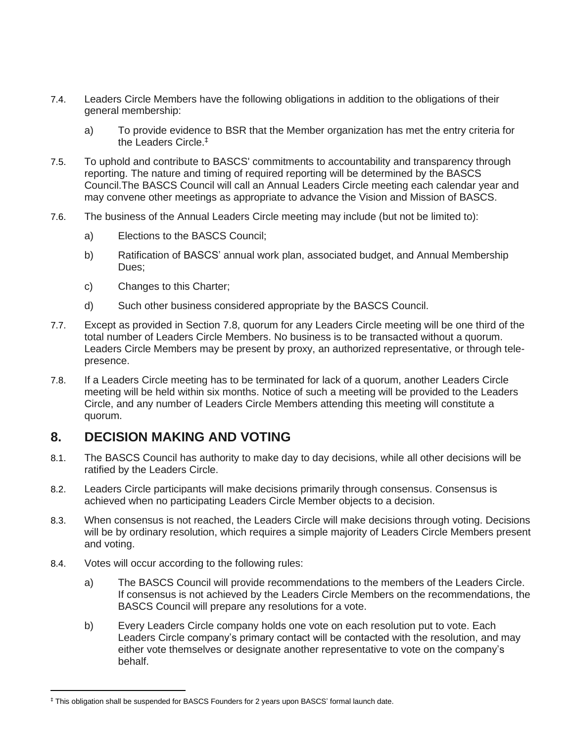- 7.4. Leaders Circle Members have the following obligations in addition to the obligations of their general membership:
	- a) To provide evidence to BSR that the Member organization has met the entry criteria for the Leaders Circle. ‡
- 7.5. To uphold and contribute to BASCS' commitments to accountability and transparency through reporting. The nature and timing of required reporting will be determined by the BASCS Council.The BASCS Council will call an Annual Leaders Circle meeting each calendar year and may convene other meetings as appropriate to advance the Vision and Mission of BASCS.
- 7.6. The business of the Annual Leaders Circle meeting may include (but not be limited to):
	- a) Elections to the BASCS Council;
	- b) Ratification of BASCS' annual work plan, associated budget, and Annual Membership Dues;
	- c) Changes to this Charter;
	- d) Such other business considered appropriate by the BASCS Council.
- 7.7. Except as provided in Section 7.8, quorum for any Leaders Circle meeting will be one third of the total number of Leaders Circle Members. No business is to be transacted without a quorum. Leaders Circle Members may be present by proxy, an authorized representative, or through telepresence.
- 7.8. If a Leaders Circle meeting has to be terminated for lack of a quorum, another Leaders Circle meeting will be held within six months. Notice of such a meeting will be provided to the Leaders Circle, and any number of Leaders Circle Members attending this meeting will constitute a quorum.

#### **8. DECISION MAKING AND VOTING**

- 8.1. The BASCS Council has authority to make day to day decisions, while all other decisions will be ratified by the Leaders Circle.
- 8.2. Leaders Circle participants will make decisions primarily through consensus. Consensus is achieved when no participating Leaders Circle Member objects to a decision.
- 8.3. When consensus is not reached, the Leaders Circle will make decisions through voting. Decisions will be by ordinary resolution, which requires a simple majority of Leaders Circle Members present and voting.
- 8.4. Votes will occur according to the following rules:
	- a) The BASCS Council will provide recommendations to the members of the Leaders Circle. If consensus is not achieved by the Leaders Circle Members on the recommendations, the BASCS Council will prepare any resolutions for a vote.
	- b) Every Leaders Circle company holds one vote on each resolution put to vote. Each Leaders Circle company's primary contact will be contacted with the resolution, and may either vote themselves or designate another representative to vote on the company's behalf.

<sup>‡</sup> This obligation shall be suspended for BASCS Founders for 2 years upon BASCS' formal launch date.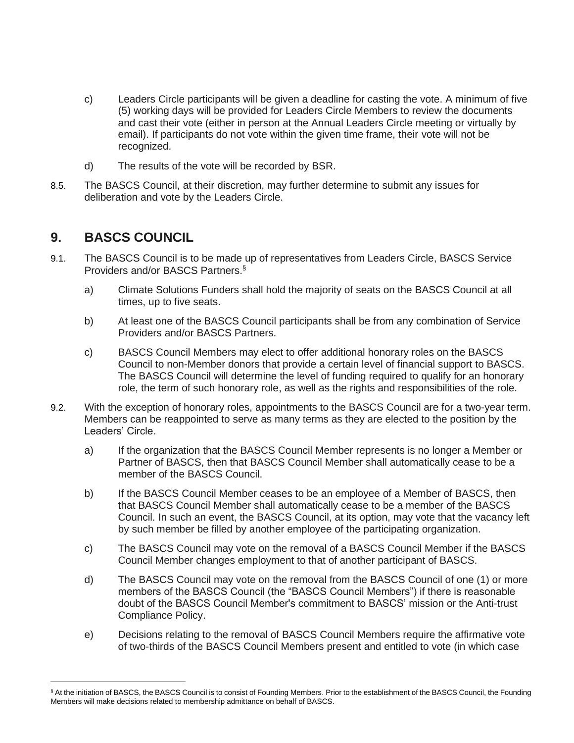- c) Leaders Circle participants will be given a deadline for casting the vote. A minimum of five (5) working days will be provided for Leaders Circle Members to review the documents and cast their vote (either in person at the Annual Leaders Circle meeting or virtually by email). If participants do not vote within the given time frame, their vote will not be recognized.
- d) The results of the vote will be recorded by BSR.
- 8.5. The BASCS Council, at their discretion, may further determine to submit any issues for deliberation and vote by the Leaders Circle.

#### **9. BASCS COUNCIL**

- 9.1. The BASCS Council is to be made up of representatives from Leaders Circle, BASCS Service Providers and/or BASCS Partners. §
	- a) Climate Solutions Funders shall hold the majority of seats on the BASCS Council at all times, up to five seats.
	- b) At least one of the BASCS Council participants shall be from any combination of Service Providers and/or BASCS Partners.
	- c) BASCS Council Members may elect to offer additional honorary roles on the BASCS Council to non-Member donors that provide a certain level of financial support to BASCS. The BASCS Council will determine the level of funding required to qualify for an honorary role, the term of such honorary role, as well as the rights and responsibilities of the role.
- 9.2. With the exception of honorary roles, appointments to the BASCS Council are for a two-year term. Members can be reappointed to serve as many terms as they are elected to the position by the Leaders' Circle.
	- a) If the organization that the BASCS Council Member represents is no longer a Member or Partner of BASCS, then that BASCS Council Member shall automatically cease to be a member of the BASCS Council.
	- b) If the BASCS Council Member ceases to be an employee of a Member of BASCS, then that BASCS Council Member shall automatically cease to be a member of the BASCS Council. In such an event, the BASCS Council, at its option, may vote that the vacancy left by such member be filled by another employee of the participating organization.
	- c) The BASCS Council may vote on the removal of a BASCS Council Member if the BASCS Council Member changes employment to that of another participant of BASCS.
	- d) The BASCS Council may vote on the removal from the BASCS Council of one (1) or more members of the BASCS Council (the "BASCS Council Members") if there is reasonable doubt of the BASCS Council Member's commitment to BASCS' mission or the Anti-trust Compliance Policy.
	- e) Decisions relating to the removal of BASCS Council Members require the affirmative vote of two-thirds of the BASCS Council Members present and entitled to vote (in which case

<sup>§</sup> At the initiation of BASCS, the BASCS Council is to consist of Founding Members. Prior to the establishment of the BASCS Council, the Founding Members will make decisions related to membership admittance on behalf of BASCS.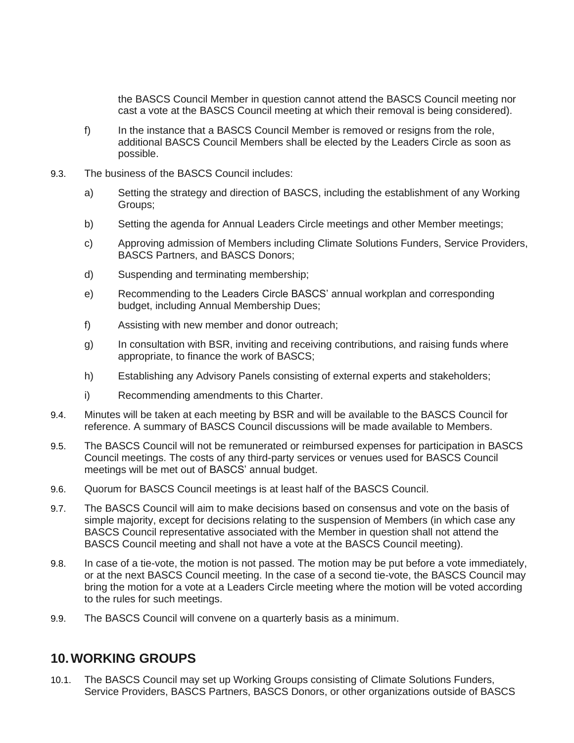the BASCS Council Member in question cannot attend the BASCS Council meeting nor cast a vote at the BASCS Council meeting at which their removal is being considered).

- f) In the instance that a BASCS Council Member is removed or resigns from the role, additional BASCS Council Members shall be elected by the Leaders Circle as soon as possible.
- 9.3. The business of the BASCS Council includes:
	- a) Setting the strategy and direction of BASCS, including the establishment of any Working Groups;
	- b) Setting the agenda for Annual Leaders Circle meetings and other Member meetings;
	- c) Approving admission of Members including Climate Solutions Funders, Service Providers, BASCS Partners, and BASCS Donors;
	- d) Suspending and terminating membership;
	- e) Recommending to the Leaders Circle BASCS' annual workplan and corresponding budget, including Annual Membership Dues;
	- f) Assisting with new member and donor outreach;
	- g) In consultation with BSR, inviting and receiving contributions, and raising funds where appropriate, to finance the work of BASCS;
	- h) Establishing any Advisory Panels consisting of external experts and stakeholders;
	- i) Recommending amendments to this Charter.
- 9.4. Minutes will be taken at each meeting by BSR and will be available to the BASCS Council for reference. A summary of BASCS Council discussions will be made available to Members.
- 9.5. The BASCS Council will not be remunerated or reimbursed expenses for participation in BASCS Council meetings. The costs of any third-party services or venues used for BASCS Council meetings will be met out of BASCS' annual budget.
- 9.6. Quorum for BASCS Council meetings is at least half of the BASCS Council.
- 9.7. The BASCS Council will aim to make decisions based on consensus and vote on the basis of simple majority, except for decisions relating to the suspension of Members (in which case any BASCS Council representative associated with the Member in question shall not attend the BASCS Council meeting and shall not have a vote at the BASCS Council meeting).
- 9.8. In case of a tie-vote, the motion is not passed. The motion may be put before a vote immediately, or at the next BASCS Council meeting. In the case of a second tie-vote, the BASCS Council may bring the motion for a vote at a Leaders Circle meeting where the motion will be voted according to the rules for such meetings.
- 9.9. The BASCS Council will convene on a quarterly basis as a minimum.

#### **10.WORKING GROUPS**

10.1. The BASCS Council may set up Working Groups consisting of Climate Solutions Funders, Service Providers, BASCS Partners, BASCS Donors, or other organizations outside of BASCS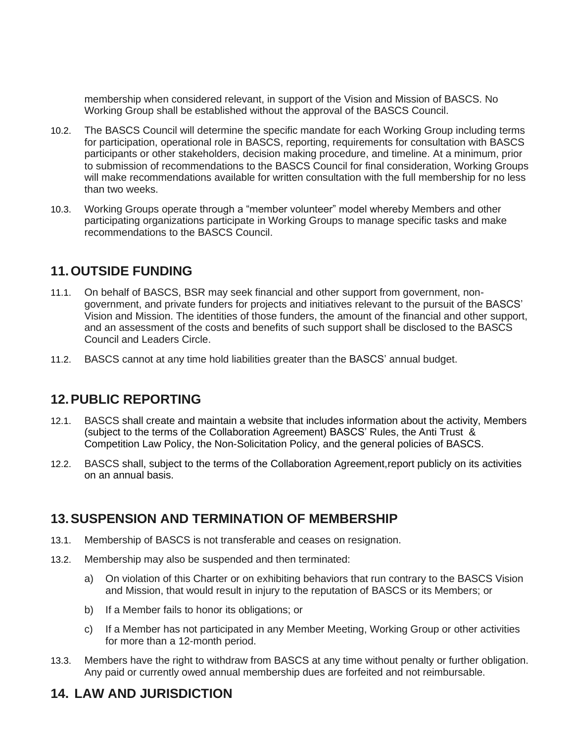membership when considered relevant, in support of the Vision and Mission of BASCS. No Working Group shall be established without the approval of the BASCS Council.

- 10.2. The BASCS Council will determine the specific mandate for each Working Group including terms for participation, operational role in BASCS, reporting, requirements for consultation with BASCS participants or other stakeholders, decision making procedure, and timeline. At a minimum, prior to submission of recommendations to the BASCS Council for final consideration, Working Groups will make recommendations available for written consultation with the full membership for no less than two weeks.
- 10.3. Working Groups operate through a "member volunteer" model whereby Members and other participating organizations participate in Working Groups to manage specific tasks and make recommendations to the BASCS Council.

#### **11.OUTSIDE FUNDING**

- 11.1. On behalf of BASCS, BSR may seek financial and other support from government, nongovernment, and private funders for projects and initiatives relevant to the pursuit of the BASCS' Vision and Mission. The identities of those funders, the amount of the financial and other support, and an assessment of the costs and benefits of such support shall be disclosed to the BASCS Council and Leaders Circle.
- 11.2. BASCS cannot at any time hold liabilities greater than the BASCS' annual budget.

### **12.PUBLIC REPORTING**

- 12.1. BASCS shall create and maintain a website that includes information about the activity, Members (subject to the terms of the Collaboration Agreement) BASCS' Rules, the Anti Trust & Competition Law Policy, the Non-Solicitation Policy, and the general policies of BASCS.
- 12.2. BASCS shall, subject to the terms of the Collaboration Agreement,report publicly on its activities on an annual basis.

### **13.SUSPENSION AND TERMINATION OF MEMBERSHIP**

- 13.1. Membership of BASCS is not transferable and ceases on resignation.
- 13.2. Membership may also be suspended and then terminated:
	- a) On violation of this Charter or on exhibiting behaviors that run contrary to the BASCS Vision and Mission, that would result in injury to the reputation of BASCS or its Members; or
	- b) If a Member fails to honor its obligations; or
	- c) If a Member has not participated in any Member Meeting, Working Group or other activities for more than a 12-month period.
- 13.3. Members have the right to withdraw from BASCS at any time without penalty or further obligation. Any paid or currently owed annual membership dues are forfeited and not reimbursable.

## **14. LAW AND JURISDICTION**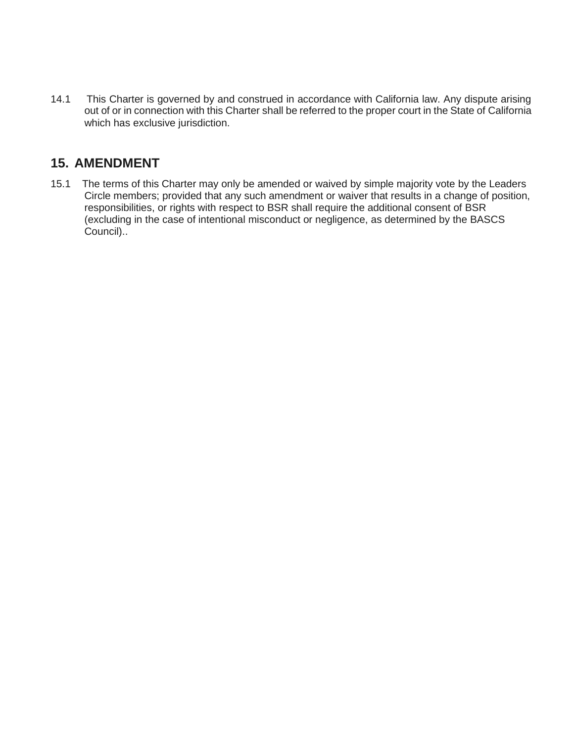14.1 This Charter is governed by and construed in accordance with California law. Any dispute arising out of or in connection with this Charter shall be referred to the proper court in the State of California which has exclusive jurisdiction.

#### **15. AMENDMENT**

15.1 The terms of this Charter may only be amended or waived by simple majority vote by the Leaders Circle members; provided that any such amendment or waiver that results in a change of position, responsibilities, or rights with respect to BSR shall require the additional consent of BSR (excluding in the case of intentional misconduct or negligence, as determined by the BASCS Council)..